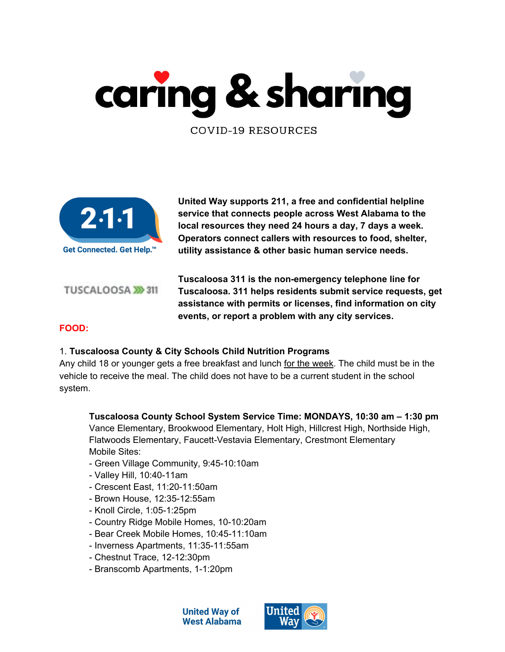



**United Way supports 211, a free and confidential helpline service that connects people across West Alabama to the local resources they need 24 hours a day, 7 days a week. Operators connect callers with resources to food, shelter, utility assistance & other basic human service needs.**

TUSCALOOSA >>>311

**Tuscaloosa 311 is the non-emergency telephone line for Tuscaloosa. 311 helps residents submit service requests, get assistance with permits or licenses, find information on city events, or report a problem with any city services.**

## **FOOD:**

#### 1. **Tuscaloosa County & City Schools Child Nutrition Programs**

Any child 18 or younger gets a free breakfast and lunch for the week. The child must be in the vehicle to receive the meal. The child does not have to be a current student in the school system.

**Tuscaloosa County School System Service Time: MONDAYS, 10:30 am – 1:30 pm** Vance Elementary, Brookwood Elementary, Holt High, Hillcrest High, Northside High, Flatwoods Elementary, Faucett-Vestavia Elementary, Crestmont Elementary Mobile Sites:

- Green Village Community, 9:45-10:10am
- Valley Hill, 10:40-11am
- Crescent East, 11:20-11:50am
- Brown House, 12:35-12:55am
- Knoll Circle, 1:05-1:25pm
- Country Ridge Mobile Homes, 10-10:20am
- Bear Creek Mobile Homes, 10:45-11:10am
- Inverness Apartments, 11:35-11:55am
- Chestnut Trace, 12-12:30pm
- Branscomb Apartments, 1-1:20pm

**United Way of West Alabama** 

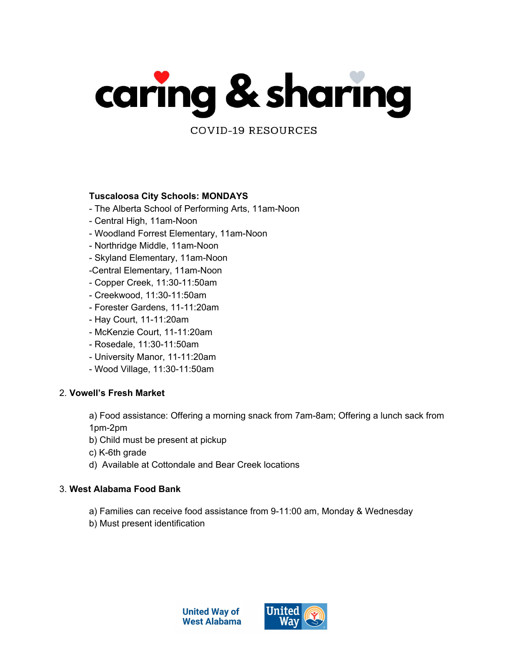

#### **Tuscaloosa City Schools: MONDAYS**

- The Alberta School of Performing Arts, 11am-Noon
- Central High, 11am-Noon
- Woodland Forrest Elementary, 11am-Noon
- Northridge Middle, 11am-Noon
- Skyland Elementary, 11am-Noon
- -Central Elementary, 11am-Noon
- Copper Creek, 11:30-11:50am
- Creekwood, 11:30-11:50am
- Forester Gardens, 11-11:20am
- Hay Court, 11-11:20am
- McKenzie Court, 11-11:20am
- Rosedale, 11:30-11:50am
- University Manor, 11-11:20am
- Wood Village, 11:30-11:50am

#### 2. **Vowell's Fresh Market**

a) Food assistance: Offering a morning snack from 7am-8am; Offering a lunch sack from 1pm-2pm

- b) Child must be present at pickup
- c) K-6th grade
- d) Available at Cottondale and Bear Creek locations

#### 3. **West Alabama Food Bank**

- a) Families can receive food assistance from 9-11:00 am, Monday & Wednesday
- b) Must present identification



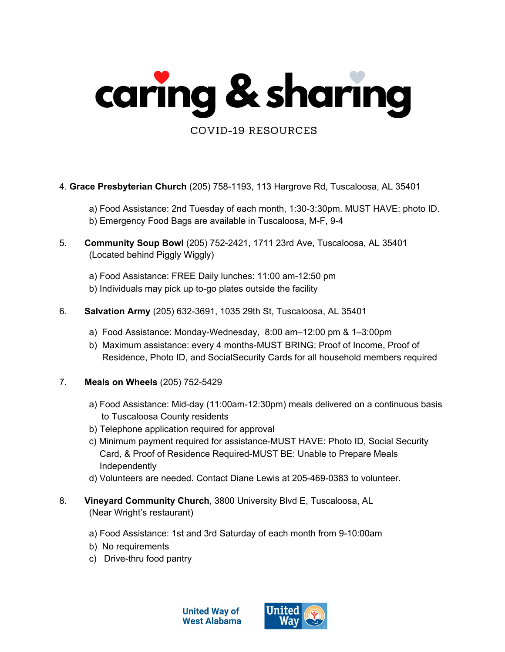

- 4. **Grace Presbyterian Church** (205) 758-1193, 113 Hargrove Rd, Tuscaloosa, AL 35401
	- a) Food Assistance: 2nd Tuesday of each month, 1:30-3:30pm. MUST HAVE: photo ID. b) Emergency Food Bags are available in Tuscaloosa, M-F, 9-4
- 5. **Community Soup Bowl** (205) 752-2421, 1711 23rd Ave, Tuscaloosa, AL 35401 (Located behind Piggly Wiggly)
	- a) Food Assistance: FREE Daily lunches: 11:00 am-12:50 pm
	- b) Individuals may pick up to-go plates outside the facility
- 6. **Salvation Army** (205) 632-3691, 1035 29th St, Tuscaloosa, AL 35401
	- a) Food Assistance: Monday-Wednesday, 8:00 am–12:00 pm & 1–3:00pm
	- b) Maximum assistance: every 4 months-MUST BRING: Proof of Income, Proof of Residence, Photo ID, and SocialSecurity Cards for all household members required
- 7. **Meals on Wheels** (205) 752-5429
	- a) Food Assistance: Mid-day (11:00am-12:30pm) meals delivered on a continuous basis to Tuscaloosa County residents
	- b) Telephone application required for approval
	- c) Minimum payment required for assistance-MUST HAVE: Photo ID, Social Security Card, & Proof of Residence Required-MUST BE: Unable to Prepare Meals Independently
	- d) Volunteers are needed. Contact Diane Lewis at 205-469-0383 to volunteer.
- 8. **Vineyard Community Church**, 3800 University Blvd E, Tuscaloosa, AL (Near Wright's restaurant)
	- a) Food Assistance: 1st and 3rd Saturday of each month from 9-10:00am
	- b) No requirements
	- c) Drive-thru food pantry



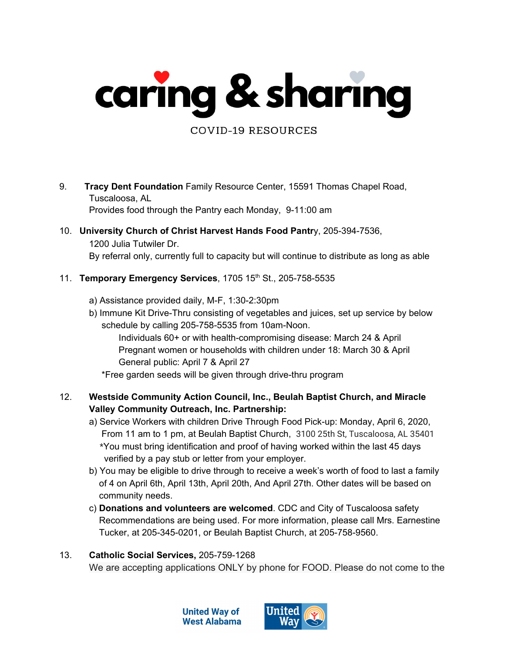

9. **Tracy Dent Foundation** Family Resource Center, 15591 Thomas Chapel Road, Tuscaloosa, AL

Provides food through the Pantry each Monday, 9-11:00 am

10. **University Church of Christ Harvest Hands Food Pantr**y, 205-394-7536,

1200 Julia Tutwiler Dr.

By referral only, currently full to capacity but will continue to distribute as long as able

- 11. **Temporary Emergency Services**, 1705 15 th St., 205-758-5535
	- a) Assistance provided daily, M-F, 1:30-2:30pm
	- b) Immune Kit Drive-Thru consisting of vegetables and juices, set up service by below schedule by calling 205-758-5535 from 10am-Noon.

Individuals 60+ or with health-compromising disease: March 24 & April Pregnant women or households with children under 18: March 30 & April General public: April 7 & April 27

\*Free garden seeds will be given through drive-thru program

- 12. **Westside Community Action Council, Inc., Beulah Baptist Church, and Miracle Valley Community Outreach, Inc. Partnership:**
	- a) Service Workers with children Drive Through Food Pick-up: Monday, April 6, 2020, From 11 am to 1 pm, at Beulah Baptist Church, 3100 25th St, Tuscaloosa, AL 35401 \*You must bring identification and proof of having worked within the last 45 days verified by a pay stub or letter from your employer.
	- b) You may be eligible to drive through to receive a week's worth of food to last a family of 4 on April 6th, April 13th, April 20th, And April 27th. Other dates will be based on community needs.
	- c) **Donations and volunteers are welcomed**. CDC and City of Tuscaloosa safety Recommendations are being used. For more information, please call Mrs. Earnestine Tucker, at 205-345-0201, or Beulah Baptist Church, at 205-758-9560.

# 13. **Catholic Social Services,** 205-759-1268

We are accepting applications ONLY by phone for FOOD. Please do not come to the

**United Way of West Alabama** 

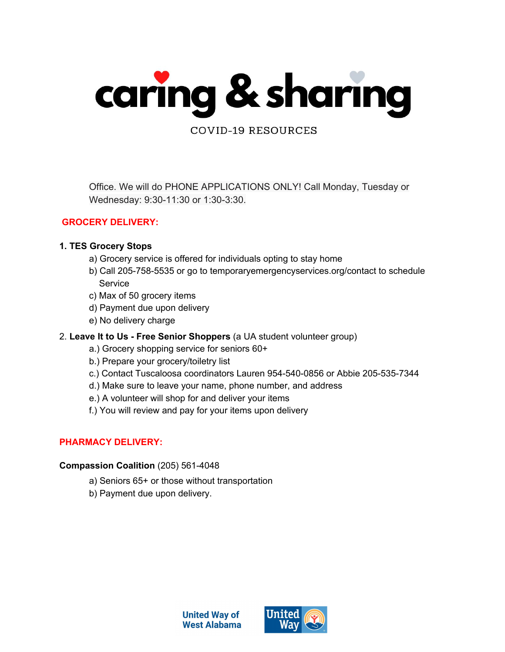

Office. We will do PHONE APPLICATIONS ONLY! Call Monday, Tuesday or Wednesday: 9:30-11:30 or 1:30-3:30.

## **GROCERY DELIVERY:**

### **1. TES Grocery Stops**

- a) Grocery service is offered for individuals opting to stay home
- b) Call 205-758-5535 or go to temporaryemergencyservices.org/contact to schedule **Service**
- c) Max of 50 grocery items
- d) Payment due upon delivery
- e) No delivery charge
- 2. **Leave It to Us - Free Senior Shoppers** (a UA student volunteer group)
	- a.) Grocery shopping service for seniors 60+
	- b.) Prepare your grocery/toiletry list
	- c.) Contact Tuscaloosa coordinators Lauren 954-540-0856 or Abbie 205-535-7344
	- d.) Make sure to leave your name, phone number, and address
	- e.) A volunteer will shop for and deliver your items
	- f.) You will review and pay for your items upon delivery

## **PHARMACY DELIVERY:**

#### **Compassion Coalition** (205) 561-4048

- a) Seniors 65+ or those without transportation
- b) Payment due upon delivery.



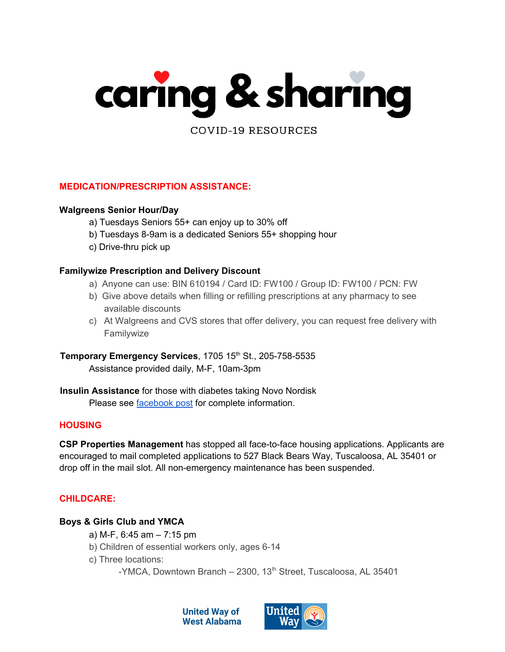

**MEDICATION/PRESCRIPTION ASSISTANCE:**

#### **Walgreens Senior Hour/Day**

- a) Tuesdays Seniors 55+ can enjoy up to 30% off
- b) Tuesdays 8-9am is a dedicated Seniors 55+ shopping hour
- c) Drive-thru pick up

#### **Familywize Prescription and Delivery Discount**

- a) Anyone can use: BIN 610194 / Card ID: FW100 / Group ID: FW100 / PCN: FW
- b) Give above details when filling or refilling prescriptions at any pharmacy to see available discounts
- c) At Walgreens and CVS stores that offer delivery, you can request free delivery with Familywize

**Temporary Emergency Services**, 1705 15 th St., 205-758-5535 Assistance provided daily, M-F, 10am-3pm

**Insulin Assistance** for those with diabetes taking Novo Nordisk Please see [facebook](https://www.facebook.com/plugins/post.php?href=https%3A%2F%2Fwww.facebook.com%2FUnitedWayWestAL%2Fposts%2F10163911000720019) post for complete information.

#### **HOUSING**

**CSP Properties Management** has stopped all face-to-face housing applications. Applicants are encouraged to mail completed applications to 527 Black Bears Way, Tuscaloosa, AL 35401 or drop off in the mail slot. All non-emergency maintenance has been suspended.

#### **CHILDCARE:**

#### **Boys & Girls Club and YMCA**

- a) M-F, 6:45 am 7:15 pm
- b) Children of essential workers only, ages 6-14
- c) Three locations:
	- -YMCA, Downtown Branch 2300, 13<sup>th</sup> Street, Tuscaloosa, AL 35401



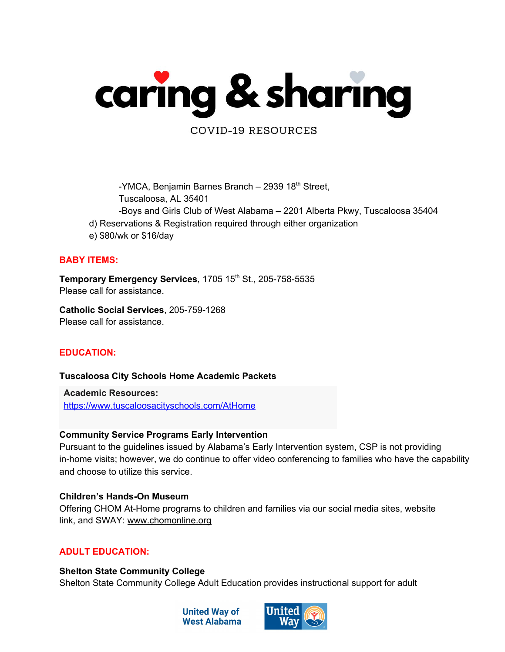

-YMCA, Benjamin Barnes Branch - 2939 18<sup>th</sup> Street, Tuscaloosa, AL 35401

- -Boys and Girls Club of West Alabama 2201 Alberta Pkwy, Tuscaloosa 35404
- d) Reservations & Registration required through either organization
- e) \$80/wk or \$16/day

#### **BABY ITEMS:**

**Temporary Emergency Services**, 1705 15 th St., 205-758-5535 Please call for assistance.

**Catholic Social Services**, 205-759-1268 Please call for assistance.

## **EDUCATION:**

#### **Tuscaloosa City Schools Home Academic Packets**

**Academic Resources:** [https://www.tuscaloosacityschools.com/AtHome](https://slack-redir.net/link?url=https%3A%2F%2Fwww.tuscaloosacityschools.com%2FAtHome)

#### **Community Service Programs Early Intervention**

Pursuant to the guidelines issued by Alabama's Early Intervention system, CSP is not providing in-home visits; however, we do continue to offer video conferencing to families who have the capability and choose to utilize this service.

#### **Children's Hands-On Museum**

Offering CHOM At-Home programs to children and families via our social media sites, website link, and SWAY: [www.chomonline.org](http://www.chomonline.org/)

#### **ADULT EDUCATION:**

**Shelton State Community College** Shelton State Community College Adult Education provides instructional support for adult



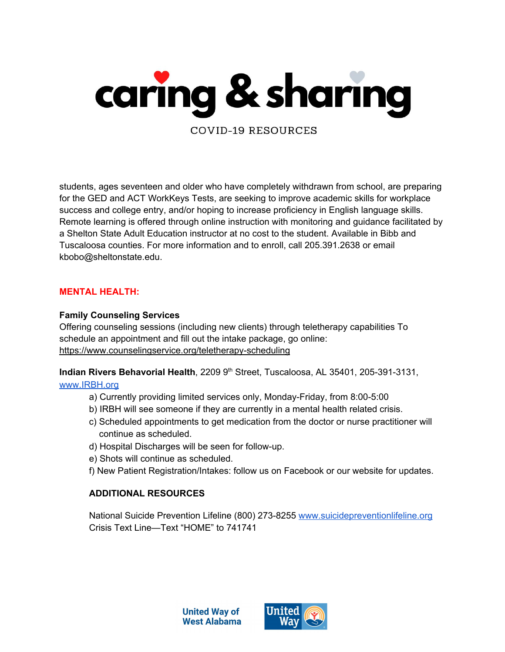

students, ages seventeen and older who have completely withdrawn from school, are preparing for the GED and ACT WorkKeys Tests, are seeking to improve academic skills for workplace success and college entry, and/or hoping to increase proficiency in English language skills. Remote learning is offered through online instruction with monitoring and guidance facilitated by a Shelton State Adult Education instructor at no cost to the student. Available in Bibb and Tuscaloosa counties. For more information and to enroll, call 205.391.2638 or email kbobo@sheltonstate.edu.

#### **MENTAL HEALTH:**

#### **Family Counseling Services**

Offering counseling sessions (including new clients) through teletherapy capabilities To schedule an appointment and fill out the intake package, go online: <https://www.counselingservice.org/teletherapy-scheduling>

**Indian Rivers Behavorial Health**, 2209 9 th Street, Tuscaloosa, AL 35401, 205-391-3131,

#### [www.IRBH.org](http://www.irbh.org/)

- a) Currently providing limited services only, Monday-Friday, from 8:00-5:00
- b) IRBH will see someone if they are currently in a mental health related crisis.
- c) Scheduled appointments to get medication from the doctor or nurse practitioner will continue as scheduled.
- d) Hospital Discharges will be seen for follow-up.
- e) Shots will continue as scheduled.
- f) New Patient Registration/Intakes: follow us on Facebook or our website for updates.

#### **ADDITIONAL RESOURCES**

National Suicide Prevention Lifeline (800) 273-82[5](http://www.suicidepreventionlifeline.org/)5 [www.suicidepreventionlifeline.org](http://www.suicidepreventionlifeline.org/) Crisis Text Line—Text "HOME" to 741741



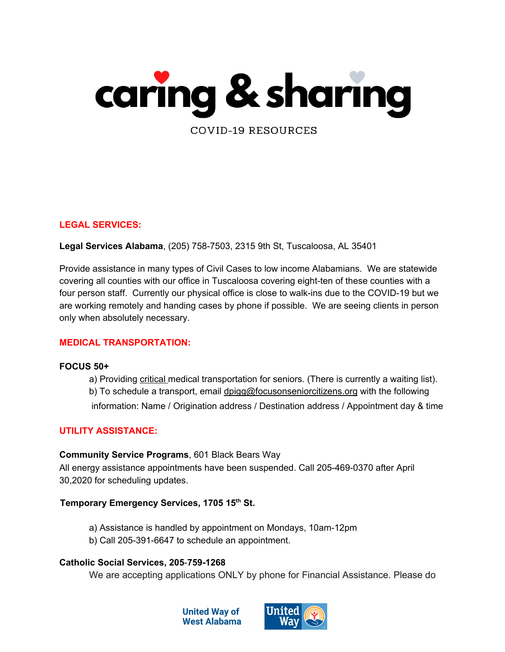

### **LEGAL SERVICES:**

**Legal Services Alabama**, (205) [758-7503,](https://www.google.com/search?q=legal+services+alabama+tuscaloosa+office&rlz=1C1OKWM_enUS762US762&oq=legal+services+alabama+tuscaloosa+office&aqs=chrome..69i57.9724j0j7&sourceid=chrome&ie=UTF-8) 2315 9th St, Tuscaloosa, AL 35401

Provide assistance in many types of Civil Cases to low income Alabamians. We are statewide covering all counties with our office in Tuscaloosa covering eight-ten of these counties with a four person staff. Currently our physical office is close to walk-ins due to the COVID-19 but we are working remotely and handing cases by phone if possible. We are seeing clients in person only when absolutely necessary.

#### **MEDICAL TRANSPORTATION:**

#### **FOCUS 50+**

a) Providing critical medical transportation for seniors. (There is currently a waiting list). b) To schedule a transport, email dpigg@focusonseniorcitizens.org with the following information: Name / Origination address / Destination address / Appointment day & time

## **UTILITY ASSISTANCE:**

#### **Community Service Programs**, 601 Black Bears Way

All energy assistance appointments have been suspended. Call 205-469-0370 after April 30,2020 for scheduling updates.

#### **Temporary Emergency Services, 1705 15 th St.**

- a) Assistance is handled by appointment on Mondays, 10am-12pm
- b) Call 205-391-6647 to schedule an appointment.

#### **Catholic Social Services, 205**-**759-1268**

We are accepting applications ONLY by phone for Financial Assistance. Please do



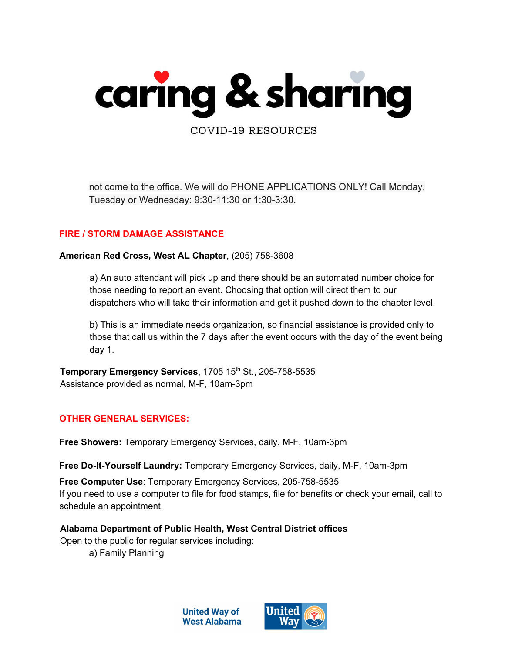

not come to the office. We will do PHONE APPLICATIONS ONLY! Call Monday, Tuesday or Wednesday: 9:30-11:30 or 1:30-3:30.

### **FIRE / STORM DAMAGE ASSISTANCE**

**American Red Cross, West AL Chapter**, (205) 758-3608

a) An auto attendant will pick up and there should be an automated number choice for those needing to report an event. Choosing that option will direct them to our dispatchers who will take their information and get it pushed down to the chapter level.

b) This is an immediate needs organization, so financial assistance is provided only to those that call us within the 7 days after the event occurs with the day of the event being day 1.

**Temporary Emergency Services**, 1705 15 th St., 205-758-5535 Assistance provided as normal, M-F, 10am-3pm

### **OTHER GENERAL SERVICES:**

**Free Showers:** Temporary Emergency Services, daily, M-F, 10am-3pm

**Free Do-It-Yourself Laundry:** Temporary Emergency Services, daily, M-F, 10am-3pm

**Free Computer Use**: Temporary Emergency Services, 205-758-5535 If you need to use a computer to file for food stamps, file for benefits or check your email, call to schedule an appointment.

**Alabama Department of Public Health, West Central District offices**

Open to the public for regular services including:

a) Family Planning



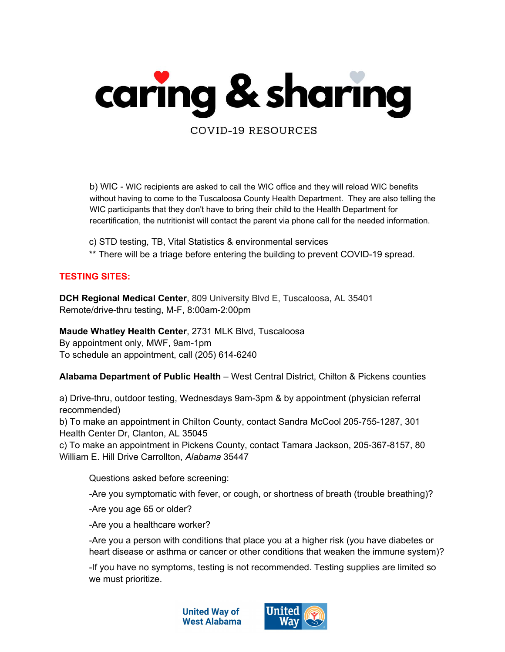

b) WIC - WIC recipients are asked to call the WIC office and they will reload WIC benefits without having to come to the Tuscaloosa County Health Department. They are also telling the WIC participants that they don't have to bring their child to the Health Department for recertification, the nutritionist will contact the parent via phone call for the needed information.

- c) STD testing, TB, Vital Statistics & environmental services
- \*\* There will be a triage before entering the building to prevent COVID-19 spread.

## **TESTING SITES:**

**DCH Regional Medical Center**, 809 University Blvd E, Tuscaloosa, AL 35401 Remote/drive-thru testing, M-F, 8:00am-2:00pm

**Maude Whatley Health Center**, 2731 MLK Blvd, Tuscaloosa By appointment only, MWF, 9am-1pm To schedule an appointment, call (205) 614-6240

**Alabama Department of Public Health** – West Central District, Chilton & Pickens counties

a) Drive-thru, outdoor testing, Wednesdays 9am-3pm & by appointment (physician referral recommended)

b) To make an appointment in Chilton County, contact Sandra McCool 205-755-1287, 301 Health Center Dr, Clanton, AL 35045

c) To make an appointment in Pickens County, contact Tamara Jackson, 205-367-8157, 80 William E. Hill Drive Carrollton, *Alabama* 35447

Questions asked before screening:

-Are you symptomatic with fever, or cough, or shortness of breath (trouble breathing)?

-Are you age 65 or older?

-Are you a healthcare worker?

-Are you a person with conditions that place you at a higher risk (you have diabetes or heart disease or asthma or cancer or other conditions that weaken the immune system)?

-If you have no symptoms, testing is not recommended. Testing supplies are limited so we must prioritize.